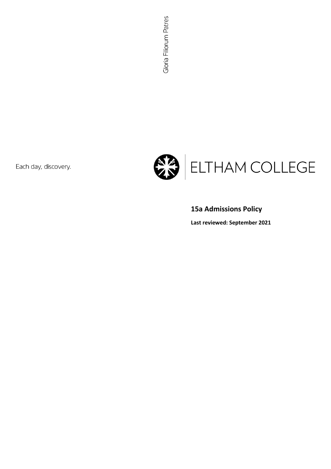Each day, discovery.



# **15a Admissions Policy**

**Last reviewed: September 2021**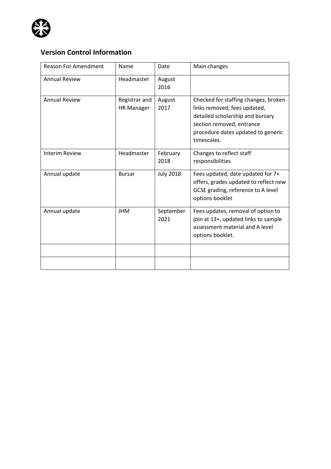

# **Version Control Information**

| <b>Reason For Amendment</b> | Name                               | Date              | Main changes                                                                                                                                                                               |
|-----------------------------|------------------------------------|-------------------|--------------------------------------------------------------------------------------------------------------------------------------------------------------------------------------------|
| <b>Annual Review</b>        | Headmaster                         | August<br>2016    |                                                                                                                                                                                            |
| <b>Annual Review</b>        | Registrar and<br><b>HR Manager</b> | August<br>2017    | Checked for staffing changes, broken<br>links removed, fees updated,<br>detailed scholarship and bursary<br>section removed, entrance<br>procedure dates updated to generic<br>timescales. |
| <b>Interim Review</b>       | Headmaster                         | February<br>2018  | Changes to reflect staff<br>responsibilities                                                                                                                                               |
| Annual update               | <b>Bursar</b>                      | <b>July 2018</b>  | Fees updated, date updated for 7+<br>offers, grades updated to reflect new<br>GCSE grading, reference to A level<br>options booklet                                                        |
| Annual update               | <b>JHM</b>                         | September<br>2021 | Fees updates, removal of option to<br>join at 13+, updated links to sample<br>assessment material and A level<br>options booklet.                                                          |
|                             |                                    |                   |                                                                                                                                                                                            |
|                             |                                    |                   |                                                                                                                                                                                            |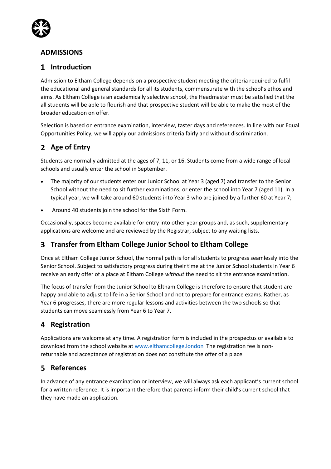

## **ADMISSIONS**

## **Introduction**

Admission to Eltham College depends on a prospective student meeting the criteria required to fulfil the educational and general standards for all its students, commensurate with the school's ethos and aims. As Eltham College is an academically selective school, the Headmaster must be satisfied that the all students will be able to flourish and that prospective student will be able to make the most of the broader education on offer.

Selection is based on entrance examination, interview, taster days and references. In line with our Equal Opportunities Policy, we will apply our admissions criteria fairly and without discrimination.

# **Age of Entry**

Students are normally admitted at the ages of 7, 11, or 16. Students come from a wide range of local schools and usually enter the school in September.

- The majority of our students enter our Junior School at Year 3 (aged 7) and transfer to the Senior School without the need to sit further examinations, or enter the school into Year 7 (aged 11). In a typical year, we will take around 60 students into Year 3 who are joined by a further 60 at Year 7;
- Around 40 students join the school for the [Sixth Form.](http://www.elthamcollege.london/Welcome-to-the-Sixth-Form)

Occasionally, spaces become available for entry into other year groups and, as such, supplementary applications are welcome and are reviewed by the Registrar, subject to any waiting lists.

## **Transfer from Eltham College Junior School to Eltham College**

Once at Eltham College Junior School, the normal path is for all students to progress seamlessly into the Senior School. Subject to satisfactory progress during their time at the Junior School students in Year 6 receive an early offer of a place at Eltham College *without* the need to sit the entrance examination.

The focus of transfer from the Junior School to Eltham College is therefore to ensure that student are happy and able to adjust to life in a Senior School and not to prepare for entrance exams. Rather, as Year 6 progresses, there are more regular lessons and activities between the two schools so that students can move seamlessly from Year 6 to Year 7.

## **Registration**

Applications are welcome at any time. A registration form is included in the prospectus or available to download from the school website at [www.elthamcollege.london](http://www.elthamcollege.london/) The registration fee is nonreturnable and acceptance of registration does not constitute the offer of a place.

## **References**

In advance of any entrance examination or interview, we will always ask each applicant's current school for a written reference. It is important therefore that parents inform their child's current school that they have made an application.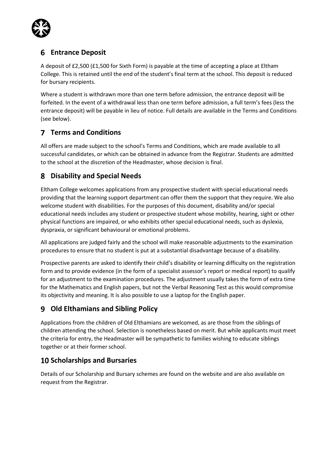

## **Entrance Deposit**

A deposit of £2,500 (£1,500 for Sixth Form) is payable at the time of accepting a place at Eltham College. This is retained until the end of the student's final term at the school. This deposit is reduced for bursary recipients.

Where a student is withdrawn more than one term before admission, the entrance deposit will be forfeited. In the event of a withdrawal less than one term before admission, a full term's fees (less the entrance deposit) will be payable in lieu of notice. Full details are available in the Terms and Conditions (see below).

# **Terms and Conditions**

All offers are made subject to the school's Terms and Conditions, which are made available to all successful candidates, or which can be obtained in advance from the Registrar. Students are admitted to the school at the discretion of the Headmaster, whose decision is final.

## **Disability and Special Needs**

Eltham College welcomes applications from any prospective student with special educational needs providing that the learning support department can offer them the support that they require. We also welcome student with disabilities. For the purposes of this document, disability and/or special educational needs includes any student or prospective student whose mobility, hearing, sight or other physical functions are impaired, or who exhibits other special educational needs, such as dyslexia, dyspraxia, or significant behavioural or emotional problems.

All applications are judged fairly and the school will make reasonable adjustments to the examination procedures to ensure that no student is put at a substantial disadvantage because of a disability.

Prospective parents are asked to identify their child's disability or learning difficulty on the registration form and to provide evidence (in the form of a specialist assessor's report or medical report) to qualify for an adjustment to the examination procedures. The adjustment usually takes the form of extra time for the Mathematics and English papers, but not the Verbal Reasoning Test as this would compromise its objectivity and meaning. It is also possible to use a laptop for the English paper.

## **Old Elthamians and Sibling Policy**

Applications from the children of Old Elthamians are welcomed, as are those from the siblings of children attending the school. Selection is nonetheless based on merit. But while applicants must meet the criteria for entry, the Headmaster will be sympathetic to families wishing to educate siblings together or at their former school.

## **10 Scholarships and Bursaries**

Details of our Scholarship and Bursary schemes are found on the website and are also available on request from the Registrar.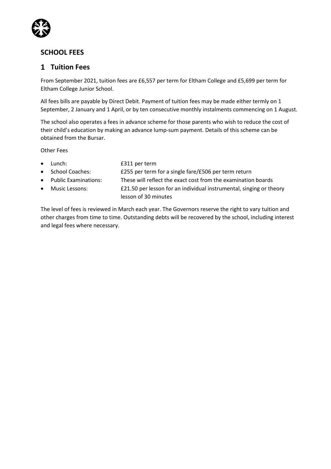

## **SCHOOL FEES**

### **Tuition Fees**

From September 2021, tuition fees are £6,557 per term for Eltham College and £5,699 per term for Eltham College Junior School.

All fees bills are payable by Direct Debit. Payment of tuition fees may be made either termly on 1 September, 2 January and 1 April, or by ten consecutive monthly instalments commencing on 1 August.

The school also operates a fees in advance scheme for those parents who wish to reduce the cost of their child's education by making an advance lump-sum payment. Details of this scheme can be obtained from the Bursar.

Other Fees

| $\bullet$ | Lunch:                 | £311 per term                                                       |  |
|-----------|------------------------|---------------------------------------------------------------------|--|
|           | • School Coaches:      | £255 per term for a single fare/£506 per term return                |  |
|           | • Public Examinations: | These will reflect the exact cost from the examination boards       |  |
|           | • Music Lessons:       | £21.50 per lesson for an individual instrumental, singing or theory |  |
|           |                        | lesson of 30 minutes                                                |  |

The level of fees is reviewed in March each year. The Governors reserve the right to vary tuition and other charges from time to time. Outstanding debts will be recovered by the school, including interest and legal fees where necessary.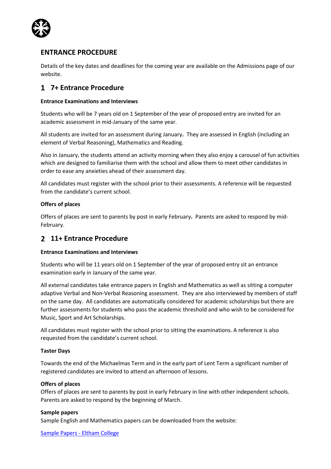

### **ENTRANCE PROCEDURE**

Details of the key dates and deadlines for the coming year are available on the Admissions page of our website.

## **7+ Entrance Procedure**

### **Entrance Examinations and Interviews**

Students who will be 7 years old on 1 September of the year of proposed entry are invited for an academic assessment in mid-January of the same year.

All students are invited for an assessment during January**.** They are assessed in English (including an element of Verbal Reasoning), Mathematics and Reading.

Also in January, the students attend an activity morning when they also enjoy a carousel of fun activities which are designed to familiarise them with the school and allow them to meet other candidates in order to ease any anxieties ahead of their assessment day.

All candidates must register with the school prior to their assessments. A reference will be requested from the candidate's current school.

### **Offers of places**

Offers of places are sent to parents by post in early February**.** Parents are asked to respond by mid-February.

### **11+ Entrance Procedure**

### **Entrance Examinations and Interviews**

Students who will be 11 years old on 1 September of the year of proposed entry sit an entrance examination early in January of the same year.

All external candidates take entrance papers in English and Mathematics as well as sitting a computer adaptive Verbal and Non-Verbal Reasoning assessment. They are also interviewed by members of staff on the same day. All candidates are automatically considered for academic scholarships but there are further assessments for students who pass the academic threshold and who wish to be considered for Music, Sport and Art Scholarships.

All candidates must register with the school prior to sitting the examinations. A reference is also requested from the candidate's current school.

### **Taster Days**

Towards the end of the Michaelmas Term and in the early part of Lent Term a significant number of registered candidates are invited to attend an afternoon of lessons.

#### **Offers of places**

Offers of places are sent to parents by post in early February in line with other independent schools. Parents are asked to respond by the beginning of March.

#### **Sample papers**

Sample English and Mathematics papers can be downloaded from the website:

[Sample Papers -](https://www.elthamcollege.london/parent-portal/examinations/entries/sample-papers/) Eltham College